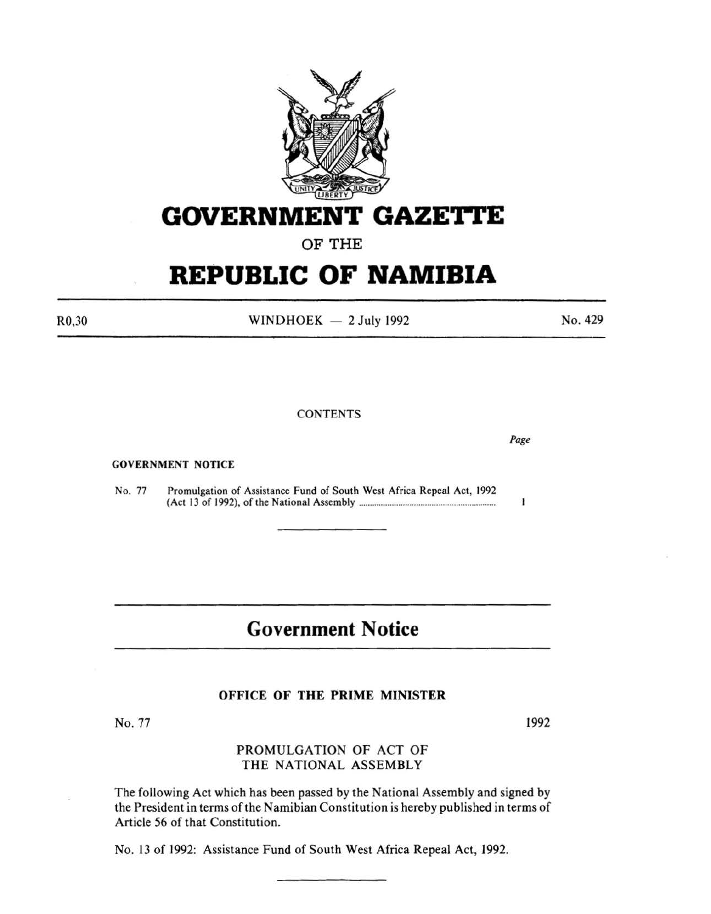

# **GOVERNMENT GAZETTE**

OF THE

# **REPUBLIC OF NAMIBIA**

R0,30

WINDHOEK  $-2$  July 1992

No. 429

### **CONTENTS**

GOVERNMENT NOTICE

No. 77 Promulgation of Assistance Fund of South West Africa Repeal Act, 1992 (Act 13 of 1992), of the National Assembly ............................................................. .

# **Government Notice**

#### OFFICE OF THE PRIME MINISTER

No. 77

## PROMULGATION OF ACT OF THE NATIONAL ASSEMBLY

The following Act which has been passed by the National Assembly and signed by the President in terms of the Namibian Constitution is hereby published in terms of Article 56 of that Constitution.

No. 13 of 1992: Assistance Fund of South West Africa Repeal Act, 1992.

*Page* 

 $\mathbf{I}$ 

1992